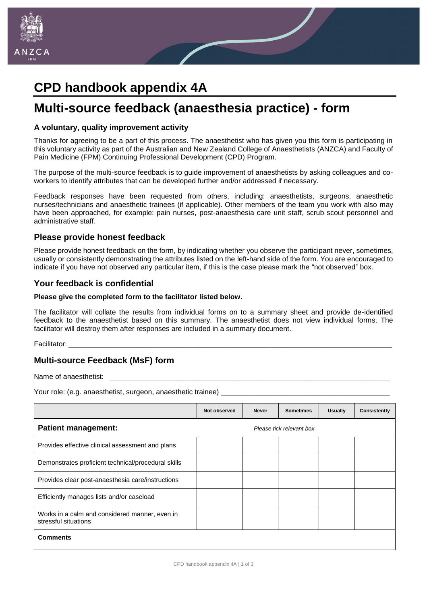

# **CPD handbook appendix 4A**

# **Multi-source feedback (anaesthesia practice) - form**

#### **A voluntary, quality improvement activity**

Thanks for agreeing to be a part of this process. The anaesthetist who has given you this form is participating in this voluntary activity as part of the Australian and New Zealand College of Anaesthetists (ANZCA) and Faculty of Pain Medicine (FPM) Continuing Professional Development (CPD) Program.

The purpose of the multi-source feedback is to guide improvement of anaesthetists by asking colleagues and coworkers to identify attributes that can be developed further and/or addressed if necessary.

Feedback responses have been requested from others, including: anaesthetists, surgeons, anaesthetic nurses/technicians and anaesthetic trainees (if applicable). Other members of the team you work with also may have been approached, for example: pain nurses, post-anaesthesia care unit staff, scrub scout personnel and administrative staff.

### **Please provide honest feedback**

Please provide honest feedback on the form, by indicating whether you observe the participant never, sometimes, usually or consistently demonstrating the attributes listed on the left-hand side of the form. You are encouraged to indicate if you have not observed any particular item, if this is the case please mark the "not observed" box.

### **Your feedback is confidential**

#### **Please give the completed form to the facilitator listed below.**

The facilitator will collate the results from individual forms on to a summary sheet and provide de-identified feedback to the anaesthetist based on this summary. The anaesthetist does not view individual forms. The facilitator will destroy them after responses are included in a summary document.

Facilitator: \_\_\_\_\_\_\_\_\_\_\_\_\_\_\_\_\_\_\_\_\_\_\_\_\_\_\_\_\_\_\_\_\_\_\_\_\_\_\_\_\_\_\_\_\_\_\_\_\_\_\_\_\_\_\_\_\_\_\_\_\_\_\_\_\_\_\_\_\_\_\_\_\_\_\_\_\_\_\_\_\_\_\_\_\_\_\_\_\_\_

## **Multi-source Feedback (MsF) form**

Name of anaesthetist:

Your role: (e.g. anaesthetist, surgeon, anaesthetic trainee)

|                                                                        | Not observed | <b>Never</b> | <b>Sometimes</b>         | <b>Usually</b> | <b>Consistently</b> |
|------------------------------------------------------------------------|--------------|--------------|--------------------------|----------------|---------------------|
| <b>Patient management:</b>                                             |              |              | Please tick relevant box |                |                     |
| Provides effective clinical assessment and plans                       |              |              |                          |                |                     |
| Demonstrates proficient technical/procedural skills                    |              |              |                          |                |                     |
| Provides clear post-anaesthesia care/instructions                      |              |              |                          |                |                     |
| Efficiently manages lists and/or caseload                              |              |              |                          |                |                     |
| Works in a calm and considered manner, even in<br>stressful situations |              |              |                          |                |                     |
| <b>Comments</b>                                                        |              |              |                          |                |                     |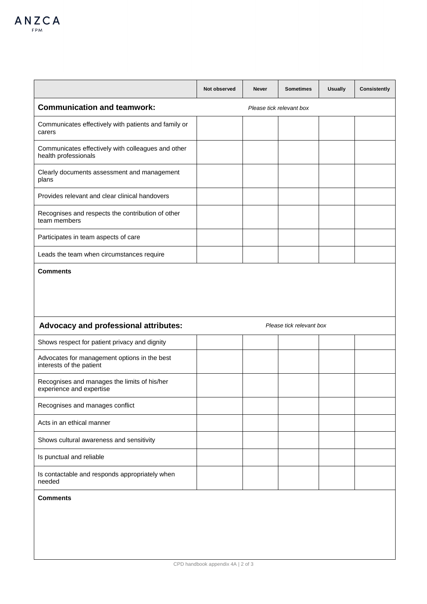|                                                                            | Not observed             | <b>Never</b> | <b>Sometimes</b>         | <b>Usually</b> | <b>Consistently</b> |  |  |
|----------------------------------------------------------------------------|--------------------------|--------------|--------------------------|----------------|---------------------|--|--|
| <b>Communication and teamwork:</b>                                         | Please tick relevant box |              |                          |                |                     |  |  |
| Communicates effectively with patients and family or<br>carers             |                          |              |                          |                |                     |  |  |
| Communicates effectively with colleagues and other<br>health professionals |                          |              |                          |                |                     |  |  |
| Clearly documents assessment and management<br>plans                       |                          |              |                          |                |                     |  |  |
| Provides relevant and clear clinical handovers                             |                          |              |                          |                |                     |  |  |
| Recognises and respects the contribution of other<br>team members          |                          |              |                          |                |                     |  |  |
| Participates in team aspects of care                                       |                          |              |                          |                |                     |  |  |
| Leads the team when circumstances require                                  |                          |              |                          |                |                     |  |  |
| Advocacy and professional attributes:                                      |                          |              | Please tick relevant box |                |                     |  |  |
| Shows respect for patient privacy and dignity                              |                          |              |                          |                |                     |  |  |
| Advocates for management options in the best<br>interests of the patient   |                          |              |                          |                |                     |  |  |
| Recognises and manages the limits of his/her<br>experience and expertise   |                          |              |                          |                |                     |  |  |
| Recognises and manages conflict                                            |                          |              |                          |                |                     |  |  |
| Acts in an ethical manner                                                  |                          |              |                          |                |                     |  |  |
| Shows cultural awareness and sensitivity                                   |                          |              |                          |                |                     |  |  |
| Is punctual and reliable                                                   |                          |              |                          |                |                     |  |  |
| Is contactable and responds appropriately when<br>needed                   |                          |              |                          |                |                     |  |  |
| <b>Comments</b>                                                            |                          |              |                          |                |                     |  |  |